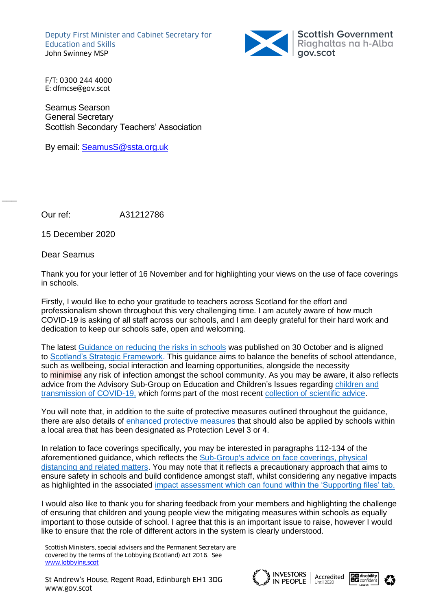Deputy First Minister and Cabinet Secretary for Education and Skills John Swinney MSP



F/T: 0300 244 4000 E: dfmcse@gov.scot

Seamus Searson General Secretary Scottish Secondary Teachers' Association

By email: [SeamusS@ssta.org.uk](mailto:SeamusS@ssta.org.uk)

Our ref: A31212786

15 December 2020

Dear Seamus

 $\overline{\phantom{a}}$ 

Thank you for your letter of 16 November and for highlighting your views on the use of face coverings in schools.

Firstly, I would like to echo your gratitude to teachers across Scotland for the effort and professionalism shown throughout this very challenging time. I am acutely aware of how much COVID-19 is asking of all staff across our schools, and I am deeply grateful for their hard work and dedication to keep our schools safe, open and welcoming.

The latest [Guidance on reducing the risks in schools](https://www.gov.scot/publications/coronavirus-covid-19-guidance-on-reducing-the-risks-in-schools/) was published on 30 October and is aligned to [Scotland's Strategic Framework.](https://www.gov.scot/publications/covid-19-scotlands-strategic-framework/) This guidance aims to balance the benefits of school attendance, such as wellbeing, social interaction and learning opportunities, alongside the necessity to minimise any risk of infection amongst the school community. As you may be aware, it also reflects advice from the Advisory Sub-Group on Education and Children's Issues regarding [children and](https://www.gov.scot/publications/coronavirus-covid-19-children-and-transmission/)  [transmission of COVID-19,](https://www.gov.scot/publications/coronavirus-covid-19-children-and-transmission/) which forms part of the most recent [collection of scientific advice.](https://www.gov.scot/publications/coronavirus-covid-19-advisory-sub-group-on-education-and-childrens-issues/)

You will note that, in addition to the suite of protective measures outlined throughout the guidance, there are also details of [enhanced protective measures](https://www.gov.scot/publications/coronavirus-covid-19-guidance-on-reducing-the-risks-in-schools/pages/protection-levels-3-and-4/) that should also be applied by schools within a local area that has been designated as Protection Level 3 or 4.

In relation to face coverings specifically, you may be interested in paragraphs 112-134 of the aforementioned guidance, which reflects the Sub-Group's advice on face coverings, physical distancing and related matters. You may note that it reflects a precautionary approach that aims to ensure safety in schools and build confidence amongst staff, whilst considering any negative impacts as highlighted in the associated [impact assessment](https://www.gov.scot/publications/coronavirus-covid-19-guidance-on-reducing-the-risks-in-schools/) which can found within the 'Supporting files' tab.

I would also like to thank you for sharing feedback from your members and highlighting the challenge of ensuring that children and young people view the mitigating measures within schools as equally important to those outside of school. I agree that this is an important issue to raise, however I would like to ensure that the role of different actors in the system is clearly understood.

Scottish Ministers, special advisers and the Permanent Secretary are covered by the terms of the Lobbying (Scotland) Act 2016. See [www.lobbying.scot](http://www.lobbying.scot/)

St Andrew's House, Regent Road, Edinburgh EH1 3DG INVESTORS | Act های مسلم الله علی الله علی الله الله علی الله St Andrew's House, Regent Road, Edinburgh EH1 3DG<br>www.gov.scot